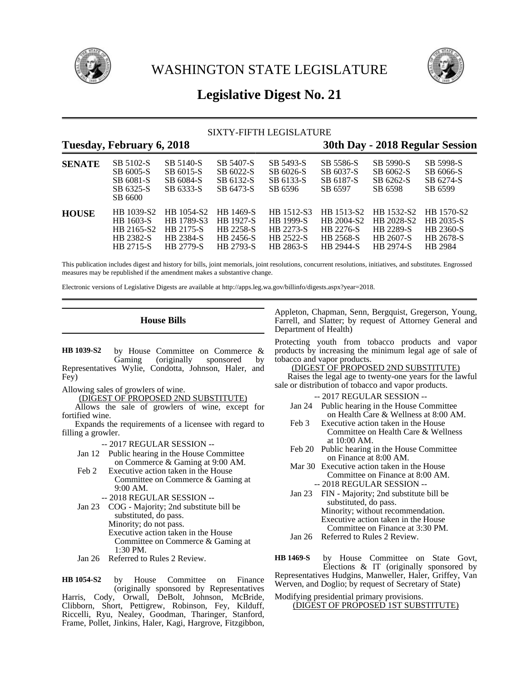



# **Legislative Digest No. 21**

# SIXTY-FIFTH LEGISLATURE

# **Tuesday, February 6, 2018 30th Day - 2018 Regular Session**

| <b>SENATE</b> | SB 5102-S<br>SB 6005-S<br>SB 6081-S<br>SB 6325-S<br>SB 6600 | SB 5140-S<br>SB 6015-S<br>SB 6084-S<br>SB 6333-S | SB 5407-S<br>SB 6022-S<br>SB 6132-S<br>SB 6473-S | SB 5493-S<br>SB 6026-S<br>SB 6133-S<br>SB 6596 | SB 5586-S<br>SB 6037-S<br>SB 6187-S<br>SB 6597 | SB 5990-S<br>SB 6062-S<br>SB 6262-S<br>SB 6598 | SB 5998-S<br>SB 6066-S<br>SB 6274-S<br>SB 6599 |
|---------------|-------------------------------------------------------------|--------------------------------------------------|--------------------------------------------------|------------------------------------------------|------------------------------------------------|------------------------------------------------|------------------------------------------------|
| <b>HOUSE</b>  | HB 1039-S2                                                  | HB 1054-S2                                       | HB 1469-S                                        | HB 1512-S3                                     | HB 1513-S2                                     | HB 1532-S2                                     | HB 1570-S2                                     |
|               | HB 1603-S                                                   | HB 1789-S3                                       | <b>HR 1927-S</b>                                 | HB 1999-S                                      | HB 2004-S2                                     | HB 2028-S2                                     | HB 2035-S                                      |
|               | HB 2165-S2                                                  | HB 2175-S                                        | HB 2258-S                                        | HB 2273-S                                      | HB 2276-S                                      | HB 2289-S                                      | HB 2360-S                                      |
|               | HB 2382-S                                                   | HB 2384-S                                        | HB 2456-S                                        | HB 2522-S                                      | HB 2568-S                                      | HB 2607-S                                      | HB 2678-S                                      |
|               | HB 2715-S                                                   | HB 2779-S                                        | HB 2793-S                                        | HB 2863-S                                      | HB 2944-S                                      | HB 2974-S                                      | HB 2984                                        |

This publication includes digest and history for bills, joint memorials, joint resolutions, concurrent resolutions, initiatives, and substitutes. Engrossed measures may be republished if the amendment makes a substantive change.

Electronic versions of Legislative Digests are available at http://apps.leg.wa.gov/billinfo/digests.aspx?year=2018.

# **House Bills**

by House Committee on Commerce &<br>Gaming (originally sponsored by sponsored by Representatives Wylie, Condotta, Johnson, Haler, and Fey) **HB 1039-S2**

Allowing sales of growlers of wine.

(DIGEST OF PROPOSED 2ND SUBSTITUTE)

Allows the sale of growlers of wine, except for fortified wine.

Expands the requirements of a licensee with regard to filling a growler.

-- 2017 REGULAR SESSION --

- Jan 12 Public hearing in the House Committee on Commerce & Gaming at 9:00 AM.
- Feb 2 Executive action taken in the House Committee on Commerce & Gaming at 9:00 AM.
	- -- 2018 REGULAR SESSION --
- Jan 23 COG Majority; 2nd substitute bill be substituted, do pass. Minority; do not pass. Executive action taken in the House Committee on Commerce & Gaming at 1:30 PM.
- Jan 26 Referred to Rules 2 Review.

by House Committee on Finance (originally sponsored by Representatives Harris, Cody, Orwall, DeBolt, Johnson, McBride, Clibborn, Short, Pettigrew, Robinson, Fey, Kilduff, Riccelli, Ryu, Nealey, Goodman, Tharinger, Stanford, Frame, Pollet, Jinkins, Haler, Kagi, Hargrove, Fitzgibbon, **HB 1054-S2**

Appleton, Chapman, Senn, Bergquist, Gregerson, Young, Farrell, and Slatter; by request of Attorney General and Department of Health)

Protecting youth from tobacco products and vapor products by increasing the minimum legal age of sale of tobacco and vapor products.

(DIGEST OF PROPOSED 2ND SUBSTITUTE)

Raises the legal age to twenty-one years for the lawful sale or distribution of tobacco and vapor products.

-- 2017 REGULAR SESSION --

- Jan 24 Public hearing in the House Committee on Health Care & Wellness at 8:00 AM.
- Feb 3 Executive action taken in the House Committee on Health Care & Wellness at 10:00 AM.
- Feb 20 Public hearing in the House Committee on Finance at 8:00 AM.
- Mar 30 Executive action taken in the House Committee on Finance at 8:00 AM. -- 2018 REGULAR SESSION --
- Jan 23 FIN Majority; 2nd substitute bill be substituted, do pass. Minority; without recommendation. Executive action taken in the House Committee on Finance at 3:30 PM.
- Jan 26 Referred to Rules 2 Review.

by House Committee on State Govt, Elections & IT (originally sponsored by Representatives Hudgins, Manweller, Haler, Griffey, Van Werven, and Doglio; by request of Secretary of State) **HB 1469-S**

#### Modifying presidential primary provisions. (DIGEST OF PROPOSED 1ST SUBSTITUTE)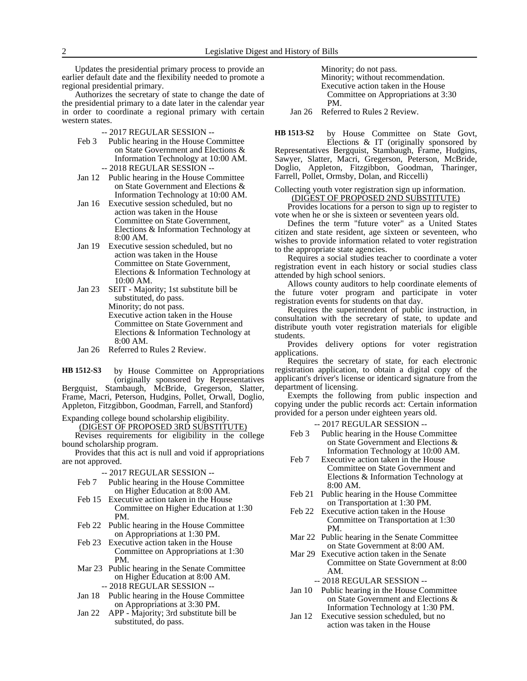Updates the presidential primary process to provide an earlier default date and the flexibility needed to promote a regional presidential primary.

Authorizes the secretary of state to change the date of the presidential primary to a date later in the calendar year in order to coordinate a regional primary with certain western states.

-- 2017 REGULAR SESSION --

- Feb 3 Public hearing in the House Committee on State Government and Elections & Information Technology at 10:00 AM. -- 2018 REGULAR SESSION --
- Jan 12 Public hearing in the House Committee on State Government and Elections & Information Technology at 10:00 AM.
- Jan 16 Executive session scheduled, but no action was taken in the House Committee on State Government, Elections & Information Technology at 8:00 AM.
- Jan 19 Executive session scheduled, but no action was taken in the House Committee on State Government, Elections & Information Technology at 10:00 AM.
- Jan 23 SEIT Majority; 1st substitute bill be substituted, do pass.

Minority; do not pass. Executive action taken in the House Committee on State Government and Elections & Information Technology at 8:00 AM.

Jan 26 Referred to Rules 2 Review.

by House Committee on Appropriations (originally sponsored by Representatives Bergquist, Stambaugh, McBride, Gregerson, Slatter, Frame, Macri, Peterson, Hudgins, Pollet, Orwall, Doglio, Appleton, Fitzgibbon, Goodman, Farrell, and Stanford) **HB 1512-S3**

Expanding college bound scholarship eligibility.

(DIGEST OF PROPOSED 3RD SUBSTITUTE)

Revises requirements for eligibility in the college bound scholarship program.

Provides that this act is null and void if appropriations are not approved.

-- 2017 REGULAR SESSION --

- Feb 7 Public hearing in the House Committee on Higher Education at 8:00 AM.
- Feb 15 Executive action taken in the House Committee on Higher Education at 1:30 PM.
- Feb 22 Public hearing in the House Committee on Appropriations at 1:30 PM.
- Feb 23 Executive action taken in the House Committee on Appropriations at 1:30 PM.
- Mar 23 Public hearing in the Senate Committee on Higher Education at 8:00 AM. -- 2018 REGULAR SESSION --
- Jan 18 Public hearing in the House Committee on Appropriations at 3:30 PM.
- Jan 22 APP Majority; 3rd substitute bill be substituted, do pass.

Minority; do not pass. Minority; without recommendation. Executive action taken in the House Committee on Appropriations at 3:30 PM.

Jan 26 Referred to Rules 2 Review.

by House Committee on State Govt, Elections & IT (originally sponsored by **HB 1513-S2**

Representatives Bergquist, Stambaugh, Frame, Hudgins, Sawyer, Slatter, Macri, Gregerson, Peterson, McBride, Doglio, Appleton, Fitzgibbon, Goodman, Tharinger, Farrell, Pollet, Ormsby, Dolan, and Riccelli)

#### Collecting youth voter registration sign up information. (DIGEST OF PROPOSED 2ND SUBSTITUTE)

Provides locations for a person to sign up to register to vote when he or she is sixteen or seventeen years old.

Defines the term "future voter" as a United States citizen and state resident, age sixteen or seventeen, who wishes to provide information related to voter registration to the appropriate state agencies.

Requires a social studies teacher to coordinate a voter registration event in each history or social studies class attended by high school seniors.

Allows county auditors to help coordinate elements of the future voter program and participate in voter registration events for students on that day.

Requires the superintendent of public instruction, in consultation with the secretary of state, to update and distribute youth voter registration materials for eligible students.

Provides delivery options for voter registration applications.

Requires the secretary of state, for each electronic registration application, to obtain a digital copy of the applicant's driver's license or identicard signature from the department of licensing.

Exempts the following from public inspection and copying under the public records act: Certain information provided for a person under eighteen years old.

-- 2017 REGULAR SESSION --

- Feb 3 Public hearing in the House Committee on State Government and Elections & Information Technology at 10:00 AM.
- Feb 7 Executive action taken in the House Committee on State Government and Elections & Information Technology at 8:00 AM.
- Feb 21 Public hearing in the House Committee on Transportation at 1:30 PM.
- Feb 22 Executive action taken in the House Committee on Transportation at 1:30 PM.
- Mar 22 Public hearing in the Senate Committee on State Government at 8:00 AM.
- Mar 29 Executive action taken in the Senate Committee on State Government at 8:00 AM.

-- 2018 REGULAR SESSION --

- Jan 10 Public hearing in the House Committee on State Government and Elections & Information Technology at 1:30 PM.
- Jan 12 Executive session scheduled, but no action was taken in the House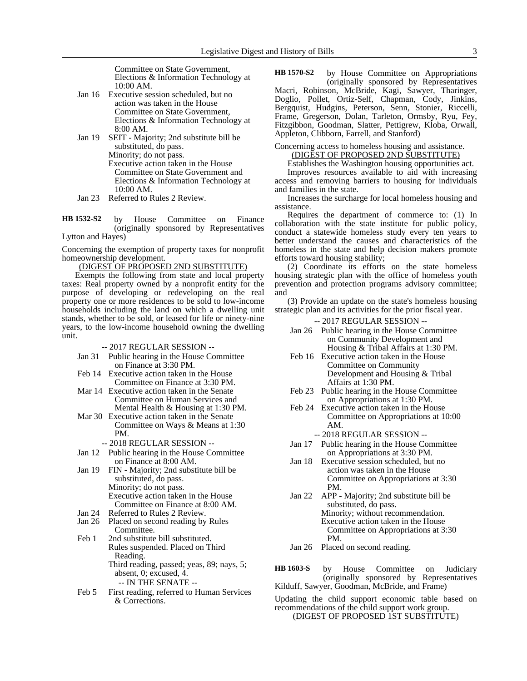Committee on State Government, Elections & Information Technology at 10:00 AM.

- Jan 16 Executive session scheduled, but no action was taken in the House Committee on State Government, Elections & Information Technology at 8:00 AM.
- Jan 19 SEIT Majority; 2nd substitute bill be substituted, do pass. Minority; do not pass. Executive action taken in the House Committee on State Government and Elections & Information Technology at 10:00 AM.
- Jan 23 Referred to Rules 2 Review.

by House Committee on Finance (originally sponsored by Representatives Lytton and Hayes) **HB 1532-S2**

Concerning the exemption of property taxes for nonprofit homeownership development.

(DIGEST OF PROPOSED 2ND SUBSTITUTE)

Exempts the following from state and local property taxes: Real property owned by a nonprofit entity for the purpose of developing or redeveloping on the real property one or more residences to be sold to low-income households including the land on which a dwelling unit stands, whether to be sold, or leased for life or ninety-nine years, to the low-income household owning the dwelling unit.

-- 2017 REGULAR SESSION --

- Jan 31 Public hearing in the House Committee on Finance at 3:30 PM.
- Feb 14 Executive action taken in the House Committee on Finance at 3:30 PM.
- Mar 14 Executive action taken in the Senate Committee on Human Services and Mental Health & Housing at 1:30 PM.
- Mar 30 Executive action taken in the Senate Committee on Ways & Means at 1:30 PM.
	- -- 2018 REGULAR SESSION --
- Jan 12 Public hearing in the House Committee on Finance at 8:00 AM.
- Jan 19 FIN Majority; 2nd substitute bill be substituted, do pass. Minority; do not pass. Executive action taken in the House Committee on Finance at 8:00 AM.
- Jan 24 Referred to Rules 2 Review.
- Jan 26 Placed on second reading by Rules Committee.
- Feb 1 2nd substitute bill substituted. Rules suspended. Placed on Third Reading. Third reading, passed; yeas, 89; nays, 5; absent, 0; excused, 4. -- IN THE SENATE --
- Feb 5 First reading, referred to Human Services & Corrections.

by House Committee on Appropriations (originally sponsored by Representatives Macri, Robinson, McBride, Kagi, Sawyer, Tharinger, Doglio, Pollet, Ortiz-Self, Chapman, Cody, Jinkins, Bergquist, Hudgins, Peterson, Senn, Stonier, Riccelli, Frame, Gregerson, Dolan, Tarleton, Ormsby, Ryu, Fey, Fitzgibbon, Goodman, Slatter, Pettigrew, Kloba, Orwall, Appleton, Clibborn, Farrell, and Stanford) **HB 1570-S2**

Concerning access to homeless housing and assistance. (DIGEST OF PROPOSED 2ND SUBSTITUTE)

Establishes the Washington housing opportunities act. Improves resources available to aid with increasing access and removing barriers to housing for individuals and families in the state.

Increases the surcharge for local homeless housing and assistance.

Requires the department of commerce to: (1) In collaboration with the state institute for public policy, conduct a statewide homeless study every ten years to better understand the causes and characteristics of the homeless in the state and help decision makers promote efforts toward housing stability;

(2) Coordinate its efforts on the state homeless housing strategic plan with the office of homeless youth prevention and protection programs advisory committee; and

(3) Provide an update on the state's homeless housing strategic plan and its activities for the prior fiscal year.

- -- 2017 REGULAR SESSION --
- Jan 26 Public hearing in the House Committee on Community Development and Housing & Tribal Affairs at 1:30 PM.
- Feb 16 Executive action taken in the House Committee on Community Development and Housing & Tribal Affairs at 1:30 PM.
- Feb 23 Public hearing in the House Committee on Appropriations at 1:30 PM.
- Feb 24 Executive action taken in the House Committee on Appropriations at 10:00 AM.
	- -- 2018 REGULAR SESSION --
- Jan 17 Public hearing in the House Committee on Appropriations at 3:30 PM.
- Jan 18 Executive session scheduled, but no action was taken in the House Committee on Appropriations at 3:30 PM.
- Jan 22 APP Majority; 2nd substitute bill be substituted, do pass. Minority; without recommendation. Executive action taken in the House Committee on Appropriations at 3:30 PM.
- Jan 26 Placed on second reading.

by House Committee on Judiciary (originally sponsored by Representatives Kilduff, Sawyer, Goodman, McBride, and Frame) **HB 1603-S**

Updating the child support economic table based on recommendations of the child support work group. (DIGEST OF PROPOSED 1ST SUBSTITUTE)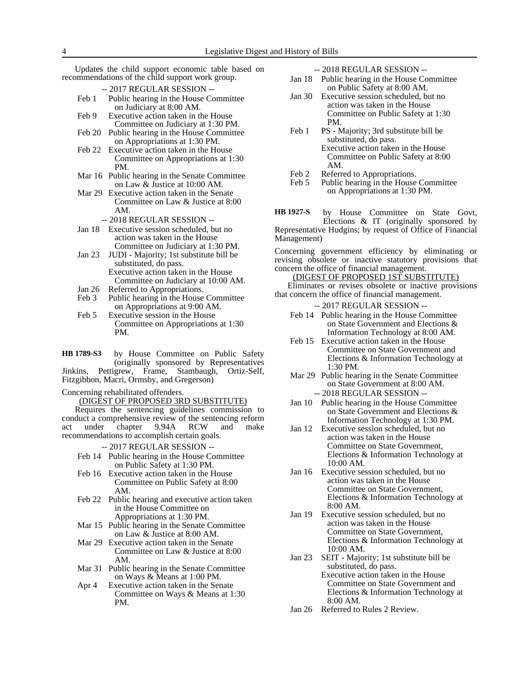Updates the child support economic table based on recommendations of the child support work group.

| -- 2017 REGULAR SESSION -- |  |
|----------------------------|--|
|----------------------------|--|

- Feb 1 Public hearing in the House Committee on Judiciary at 8:00 AM.
- Feb 9 Executive action taken in the House Committee on Judiciary at 1:30 PM.
- Feb 20 Public hearing in the House Committee on Appropriations at 1:30 PM.
- Feb 22 Executive action taken in the House Committee on Appropriations at 1:30 PM.
- Mar 16 Public hearing in the Senate Committee on Law & Justice at 10:00 AM.
- Mar 29 Executive action taken in the Senate Committee on Law & Justice at 8:00 AM.
	- -- 2018 REGULAR SESSION --
- Jan 18 Executive session scheduled, but no action was taken in the House Committee on Judiciary at 1:30 PM.
- Jan 23 JUDI Majority; 1st substitute bill be substituted, do pass. Executive action taken in the House Committee on Judiciary at 10:00 AM.
- Jan 26 Referred to Appropriations.<br>Feb 3 Public hearing in the House
- Public hearing in the House Committee on Appropriations at 9:00 AM.
- Feb 5 Executive session in the House Committee on Appropriations at 1:30 PM.

by House Committee on Public Safety (originally sponsored by Representatives Jinkins, Pettigrew, Frame, Stambaugh, Ortiz-Self, Fitzgibbon, Macri, Ormsby, and Gregerson) **HB 1789-S3**

Concerning rehabilitated offenders.

#### (DIGEST OF PROPOSED 3RD SUBSTITUTE)

Requires the sentencing guidelines commission to conduct a comprehensive review of the sentencing reform<br>act under chapter 9.94A RCW and make act under chapter 9.94A RCW and make recommendations to accomplish certain goals.

-- 2017 REGULAR SESSION --

- Feb 14 Public hearing in the House Committee on Public Safety at 1:30 PM.
- Feb 16 Executive action taken in the House Committee on Public Safety at 8:00 AM.
- Feb 22 Public hearing and executive action taken in the House Committee on Appropriations at 1:30 PM.
- Mar 15 Public hearing in the Senate Committee on Law & Justice at 8:00 AM.
- Mar 29 Executive action taken in the Senate Committee on Law & Justice at 8:00 AM.
- Mar 31 Public hearing in the Senate Committee on Ways & Means at 1:00 PM.
- Apr 4 Executive action taken in the Senate Committee on Ways & Means at 1:30 PM.

-- 2018 REGULAR SESSION --

- Jan 18 Public hearing in the House Committee on Public Safety at 8:00 AM.
- Jan 30 Executive session scheduled, but no action was taken in the House Committee on Public Safety at 1:30 PM.
- Feb 1 PS Majority; 3rd substitute bill be substituted, do pass. Executive action taken in the House Committee on Public Safety at 8:00 AM.
- Feb 2 Referred to Appropriations.<br>Feb 5 Public hearing in the House
- Public hearing in the House Committee on Appropriations at 1:30 PM.

by House Committee on State Govt, Elections & IT (originally sponsored by Representative Hudgins; by request of Office of Financial Management) **HB 1927-S**

Concerning government efficiency by eliminating or revising obsolete or inactive statutory provisions that concern the office of financial management.

(DIGEST OF PROPOSED 1ST SUBSTITUTE) Eliminates or revises obsolete or inactive provisions

that concern the office of financial management.

- -- 2017 REGULAR SESSION --
- Feb 14 Public hearing in the House Committee on State Government and Elections & Information Technology at 8:00 AM.
- Feb 15 Executive action taken in the House Committee on State Government and Elections & Information Technology at 1:30 PM.
- Mar 29 Public hearing in the Senate Committee on State Government at 8:00 AM. -- 2018 REGULAR SESSION --
- Jan 10 Public hearing in the House Committee on State Government and Elections & Information Technology at 1:30 PM.
- Jan 12 Executive session scheduled, but no action was taken in the House Committee on State Government, Elections & Information Technology at 10:00 AM.
- Jan 16 Executive session scheduled, but no action was taken in the House Committee on State Government, Elections & Information Technology at 8:00 AM.
- Jan 19 Executive session scheduled, but no action was taken in the House Committee on State Government, Elections & Information Technology at 10:00 AM.
- Jan 23 SEIT Majority; 1st substitute bill be substituted, do pass. Executive action taken in the House Committee on State Government and Elections & Information Technology at 8:00 AM.
- Jan 26 Referred to Rules 2 Review.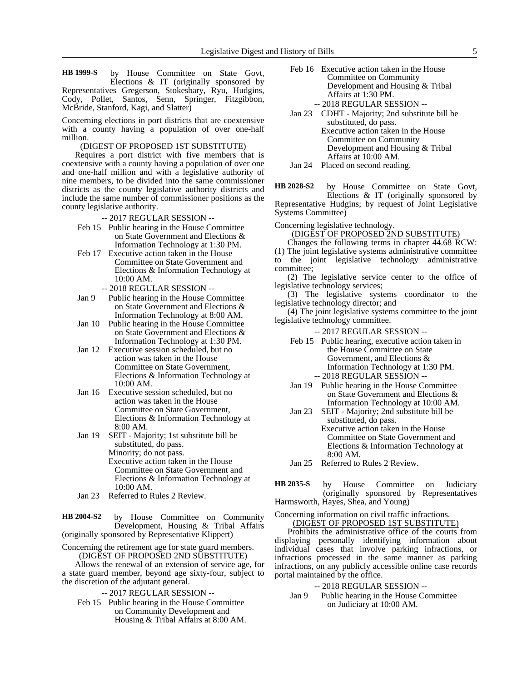by House Committee on State Govt, Elections & IT (originally sponsored by Representatives Gregerson, Stokesbary, Ryu, Hudgins, Cody, Pollet, Santos, Senn, Springer, Fitzgibbon, McBride, Stanford, Kagi, and Slatter) **HB 1999-S**

Concerning elections in port districts that are coextensive with a county having a population of over one-half million.

# (DIGEST OF PROPOSED 1ST SUBSTITUTE)

Requires a port district with five members that is coextensive with a county having a population of over one and one-half million and with a legislative authority of nine members, to be divided into the same commissioner districts as the county legislative authority districts and include the same number of commissioner positions as the county legislative authority.

-- 2017 REGULAR SESSION --

- Feb 15 Public hearing in the House Committee on State Government and Elections & Information Technology at 1:30 PM.
- Feb 17 Executive action taken in the House Committee on State Government and Elections & Information Technology at 10:00 AM.
	- -- 2018 REGULAR SESSION --
- Jan 9 Public hearing in the House Committee on State Government and Elections & Information Technology at 8:00 AM.
- Jan 10 Public hearing in the House Committee on State Government and Elections & Information Technology at 1:30 PM.
- Jan 12 Executive session scheduled, but no action was taken in the House Committee on State Government, Elections & Information Technology at 10:00 AM.
- Jan 16 Executive session scheduled, but no action was taken in the House Committee on State Government, Elections & Information Technology at 8:00 AM.
- Jan 19 SEIT Majority; 1st substitute bill be substituted, do pass. Minority; do not pass. Executive action taken in the House Committee on State Government and Elections & Information Technology at 10:00 AM.
- Jan 23 Referred to Rules 2 Review.

by House Committee on Community Development, Housing & Tribal Affairs (originally sponsored by Representative Klippert) **HB 2004-S2**

Concerning the retirement age for state guard members. (DIGEST OF PROPOSED 2ND SUBSTITUTE)

Allows the renewal of an extension of service age, for a state guard member, beyond age sixty-four, subject to the discretion of the adjutant general.

- -- 2017 REGULAR SESSION --
- Feb 15 Public hearing in the House Committee on Community Development and Housing & Tribal Affairs at 8:00 AM.
- Feb 16 Executive action taken in the House Committee on Community Development and Housing & Tribal Affairs at 1:30 PM. -- 2018 REGULAR SESSION --
- Jan 23 CDHT Majority; 2nd substitute bill be substituted, do pass. Executive action taken in the House Committee on Community Development and Housing & Tribal Affairs at 10:00 AM.
- Jan 24 Placed on second reading.

by House Committee on State Govt, Elections & IT (originally sponsored by Representative Hudgins; by request of Joint Legislative Systems Committee) **HB 2028-S2**

Concerning legislative technology.

(DIGEST OF PROPOSED 2ND SUBSTITUTE)

Changes the following terms in chapter 44.68 RCW: (1) The joint legislative systems administrative committee to the joint legislative technology administrative committee;

(2) The legislative service center to the office of legislative technology services;

(3) The legislative systems coordinator to the legislative technology director; and

(4) The joint legislative systems committee to the joint legislative technology committee.

- -- 2017 REGULAR SESSION --
- Feb 15 Public hearing, executive action taken in the House Committee on State Government, and Elections & Information Technology at 1:30 PM. -- 2018 REGULAR SESSION --
- Jan 19 Public hearing in the House Committee on State Government and Elections & Information Technology at 10:00 AM.
- Jan 23 SEIT Majority; 2nd substitute bill be substituted, do pass. Executive action taken in the House Committee on State Government and Elections & Information Technology at 8:00 AM.
- Jan 25 Referred to Rules 2 Review.
- by House Committee on Judiciary (originally sponsored by Representatives Harmsworth, Hayes, Shea, and Young) **HB 2035-S**

Concerning information on civil traffic infractions. (DIGEST OF PROPOSED 1ST SUBSTITUTE)

Prohibits the administrative office of the courts from displaying personally identifying information about individual cases that involve parking infractions, or infractions processed in the same manner as parking infractions, on any publicly accessible online case records portal maintained by the office.

-- 2018 REGULAR SESSION --

Jan 9 Public hearing in the House Committee on Judiciary at 10:00 AM.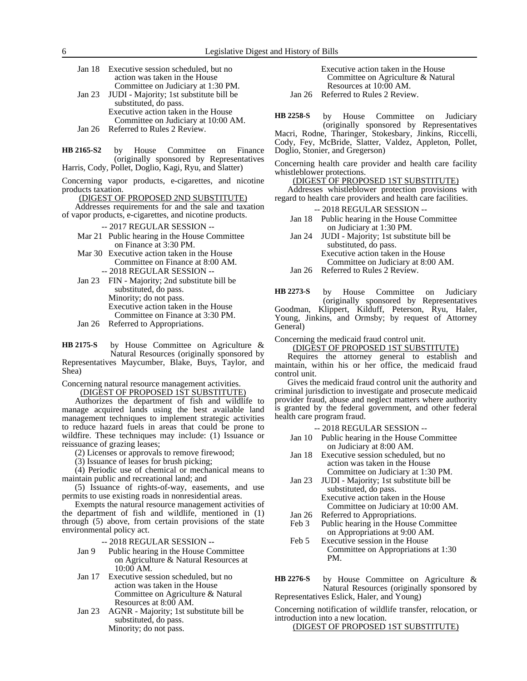| Jan 18 Executive session scheduled, but no     |
|------------------------------------------------|
| action was taken in the House                  |
| Committee on Judiciary at 1:30 PM.             |
| Jan 23 JUDI - Majority; 1st substitute bill be |
| substituted, do pass.                          |
| Executive action taken in the House            |

- Committee on Judiciary at 10:00 AM. Jan 26 Referred to Rules 2 Review.
- by House Committee on Finance (originally sponsored by Representatives **HB 2165-S2**

Harris, Cody, Pollet, Doglio, Kagi, Ryu, and Slatter)

Concerning vapor products, e-cigarettes, and nicotine products taxation.

(DIGEST OF PROPOSED 2ND SUBSTITUTE)

Addresses requirements for and the sale and taxation of vapor products, e-cigarettes, and nicotine products.

-- 2017 REGULAR SESSION --

- Mar 21 Public hearing in the House Committee on Finance at 3:30 PM.
- Mar 30 Executive action taken in the House Committee on Finance at 8:00 AM. -- 2018 REGULAR SESSION --
- Jan 23 FIN Majority; 2nd substitute bill be substituted, do pass. Minority; do not pass. Executive action taken in the House Committee on Finance at 3:30 PM.
- Jan 26 Referred to Appropriations.

by House Committee on Agriculture & Natural Resources (originally sponsored by Representatives Maycumber, Blake, Buys, Taylor, and Shea) **HB 2175-S**

Concerning natural resource management activities.

(DIGEST OF PROPOSED 1ST SUBSTITUTE)

Authorizes the department of fish and wildlife to manage acquired lands using the best available land management techniques to implement strategic activities to reduce hazard fuels in areas that could be prone to wildfire. These techniques may include: (1) Issuance or reissuance of grazing leases;

- (2) Licenses or approvals to remove firewood;
- (3) Issuance of leases for brush picking;

(4) Periodic use of chemical or mechanical means to maintain public and recreational land; and

(5) Issuance of rights-of-way, easements, and use permits to use existing roads in nonresidential areas.

Exempts the natural resource management activities of the department of fish and wildlife, mentioned in (1) through (5) above, from certain provisions of the state environmental policy act.

-- 2018 REGULAR SESSION --

- Jan 9 Public hearing in the House Committee on Agriculture & Natural Resources at 10:00 AM.
- Jan 17 Executive session scheduled, but no action was taken in the House Committee on Agriculture & Natural Resources at 8:00 AM.
- Jan 23 AGNR Majority; 1st substitute bill be substituted, do pass. Minority; do not pass.

Executive action taken in the House Committee on Agriculture & Natural Resources at 10:00 AM.

Jan 26 Referred to Rules 2 Review.

by House Committee on Judiciary (originally sponsored by Representatives **HB 2258-S**

Macri, Rodne, Tharinger, Stokesbary, Jinkins, Riccelli, Cody, Fey, McBride, Slatter, Valdez, Appleton, Pollet, Doglio, Stonier, and Gregerson)

Concerning health care provider and health care facility whistleblower protections.

(DIGEST OF PROPOSED 1ST SUBSTITUTE)

Addresses whistleblower protection provisions with regard to health care providers and health care facilities.

- -- 2018 REGULAR SESSION --
- Jan 18 Public hearing in the House Committee on Judiciary at 1:30 PM.
- Jan 24 JUDI Majority; 1st substitute bill be substituted, do pass. Executive action taken in the House Committee on Judiciary at 8:00 AM.

Jan 26 Referred to Rules 2 Review.

by House Committee on Judiciary (originally sponsored by Representatives Goodman, Klippert, Kilduff, Peterson, Ryu, Haler, Young, Jinkins, and Ormsby; by request of Attorney General) **HB 2273-S**

Concerning the medicaid fraud control unit.

(DIGEST OF PROPOSED 1ST SUBSTITUTE)

Requires the attorney general to establish and maintain, within his or her office, the medicaid fraud control unit.

Gives the medicaid fraud control unit the authority and criminal jurisdiction to investigate and prosecute medicaid provider fraud, abuse and neglect matters where authority is granted by the federal government, and other federal health care program fraud.

-- 2018 REGULAR SESSION --

- Jan 10 Public hearing in the House Committee on Judiciary at 8:00 AM.
- Jan 18 Executive session scheduled, but no action was taken in the House Committee on Judiciary at 1:30 PM.
- Jan 23 JUDI Majority; 1st substitute bill be substituted, do pass. Executive action taken in the House Committee on Judiciary at 10:00 AM.
- 
- Jan 26 Referred to Appropriations.<br>Feb 3 Public hearing in the House Public hearing in the House Committee on Appropriations at 9:00 AM.
- Feb 5 Executive session in the House Committee on Appropriations at 1:30 PM.
- by House Committee on Agriculture & Natural Resources (originally sponsored by Representatives Eslick, Haler, and Young) **HB 2276-S**

Concerning notification of wildlife transfer, relocation, or introduction into a new location.

(DIGEST OF PROPOSED 1ST SUBSTITUTE)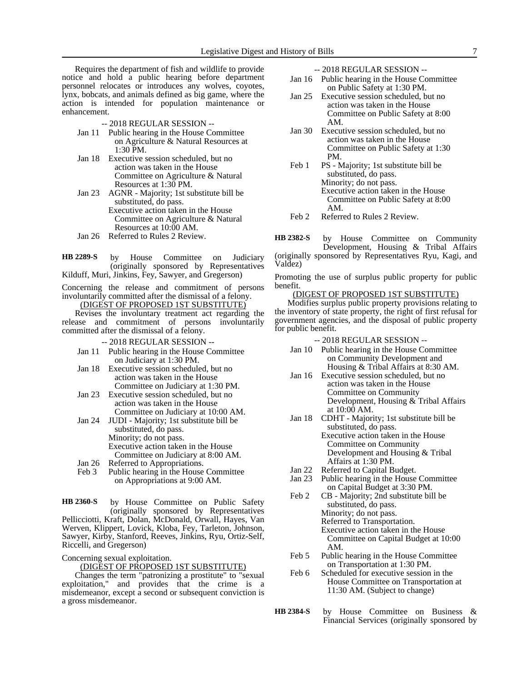Requires the department of fish and wildlife to provide notice and hold a public hearing before department personnel relocates or introduces any wolves, coyotes, lynx, bobcats, and animals defined as big game, where the action is intended for population maintenance or enhancement.

- -- 2018 REGULAR SESSION --
- Jan 11 Public hearing in the House Committee on Agriculture & Natural Resources at 1:30 PM.
- Jan 18 Executive session scheduled, but no action was taken in the House Committee on Agriculture & Natural Resources at 1:30 PM.
- Jan 23 AGNR Majority; 1st substitute bill be substituted, do pass. Executive action taken in the House Committee on Agriculture & Natural Resources at 10:00 AM.
- Jan 26 Referred to Rules 2 Review.

by House Committee on Judiciary (originally sponsored by Representatives Kilduff, Muri, Jinkins, Fey, Sawyer, and Gregerson) **HB 2289-S**

Concerning the release and commitment of persons involuntarily committed after the dismissal of a felony.

(DIGEST OF PROPOSED 1ST SUBSTITUTE)

Revises the involuntary treatment act regarding the release and commitment of persons involuntarily committed after the dismissal of a felony.

-- 2018 REGULAR SESSION --

- Jan 11 Public hearing in the House Committee on Judiciary at 1:30 PM.
- Jan 18 Executive session scheduled, but no action was taken in the House Committee on Judiciary at 1:30 PM.
- Jan 23 Executive session scheduled, but no action was taken in the House Committee on Judiciary at 10:00 AM.
- Jan 24 JUDI Majority; 1st substitute bill be substituted, do pass. Minority; do not pass. Executive action taken in the House Committee on Judiciary at 8:00 AM.
- Jan 26 Referred to Appropriations.<br>Feb 3 Public hearing in the House
- Public hearing in the House Committee on Appropriations at 9:00 AM.

by House Committee on Public Safety (originally sponsored by Representatives Pellicciotti, Kraft, Dolan, McDonald, Orwall, Hayes, Van Werven, Klippert, Lovick, Kloba, Fey, Tarleton, Johnson, Sawyer, Kirby, Stanford, Reeves, Jinkins, Ryu, Ortiz-Self, Riccelli, and Gregerson) **HB 2360-S**

Concerning sexual exploitation.

(DIGEST OF PROPOSED 1ST SUBSTITUTE)

Changes the term "patronizing a prostitute" to "sexual exploitation," and provides that the crime is a misdemeanor, except a second or subsequent conviction is a gross misdemeanor.

-- 2018 REGULAR SESSION --

- Jan 16 Public hearing in the House Committee on Public Safety at 1:30 PM.
- Jan 25 Executive session scheduled, but no action was taken in the House Committee on Public Safety at 8:00 AM.
- Jan 30 Executive session scheduled, but no action was taken in the House Committee on Public Safety at 1:30 PM.
- Feb 1 PS Majority; 1st substitute bill be substituted, do pass. Minority; do not pass. Executive action taken in the House Committee on Public Safety at 8:00 AM.
- Feb 2 Referred to Rules 2 Review.

by House Committee on Community Development, Housing & Tribal Affairs (originally sponsored by Representatives Ryu, Kagi, and Valdez) **HB 2382-S**

Promoting the use of surplus public property for public benefit.

#### (DIGEST OF PROPOSED 1ST SUBSTITUTE)

Modifies surplus public property provisions relating to the inventory of state property, the right of first refusal for government agencies, and the disposal of public property for public benefit.

-- 2018 REGULAR SESSION --

- Jan 10 Public hearing in the House Committee on Community Development and Housing & Tribal Affairs at 8:30 AM.
- Jan 16 Executive session scheduled, but no action was taken in the House Committee on Community Development, Housing & Tribal Affairs at 10:00 AM.
- Jan 18 CDHT Majority; 1st substitute bill be substituted, do pass. Executive action taken in the House Committee on Community Development and Housing & Tribal Affairs at 1:30 PM.
- Jan 22 Referred to Capital Budget.
- Jan 23 Public hearing in the House Committee on Capital Budget at 3:30 PM.
- Feb 2 CB Majority; 2nd substitute bill be substituted, do pass. Minority; do not pass. Referred to Transportation. Executive action taken in the House Committee on Capital Budget at 10:00 AM.
- Feb 5 Public hearing in the House Committee on Transportation at 1:30 PM.
- Feb 6 Scheduled for executive session in the House Committee on Transportation at 11:30 AM. (Subject to change)
- by House Committee on Business & Financial Services (originally sponsored by **HB 2384-S**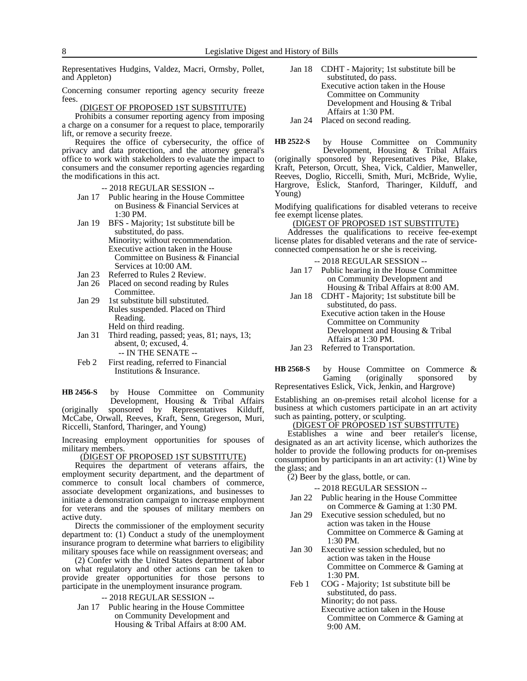Representatives Hudgins, Valdez, Macri, Ormsby, Pollet, and Appleton)

Concerning consumer reporting agency security freeze fees.

#### (DIGEST OF PROPOSED 1ST SUBSTITUTE)

Prohibits a consumer reporting agency from imposing a charge on a consumer for a request to place, temporarily lift, or remove a security freeze.

Requires the office of cybersecurity, the office of privacy and data protection, and the attorney general's office to work with stakeholders to evaluate the impact to consumers and the consumer reporting agencies regarding the modifications in this act.

-- 2018 REGULAR SESSION --

- Jan 17 Public hearing in the House Committee on Business & Financial Services at 1:30 PM.
- Jan 19 BFS Majority; 1st substitute bill be substituted, do pass. Minority; without recommendation. Executive action taken in the House Committee on Business & Financial Services at 10:00 AM.
- Jan 23 Referred to Rules 2 Review.<br>Jan 26 Placed on second reading by
- Placed on second reading by Rules Committee.
- Jan 29 1st substitute bill substituted. Rules suspended. Placed on Third Reading. Held on third reading.
- Jan 31 Third reading, passed; yeas, 81; nays, 13; absent, 0; excused, 4.
	- -- IN THE SENATE --
- Feb 2 First reading, referred to Financial Institutions & Insurance.

by House Committee on Community Development, Housing & Tribal Affairs (originally sponsored by Representatives Kilduff, McCabe, Orwall, Reeves, Kraft, Senn, Gregerson, Muri, Riccelli, Stanford, Tharinger, and Young) **HB 2456-S**

Increasing employment opportunities for spouses of military members.

(DIGEST OF PROPOSED 1ST SUBSTITUTE)

Requires the department of veterans affairs, the employment security department, and the department of commerce to consult local chambers of commerce, associate development organizations, and businesses to initiate a demonstration campaign to increase employment for veterans and the spouses of military members on active duty.

Directs the commissioner of the employment security department to: (1) Conduct a study of the unemployment insurance program to determine what barriers to eligibility military spouses face while on reassignment overseas; and

(2) Confer with the United States department of labor on what regulatory and other actions can be taken to provide greater opportunities for those persons to participate in the unemployment insurance program.

-- 2018 REGULAR SESSION --

Jan 17 Public hearing in the House Committee on Community Development and Housing & Tribal Affairs at 8:00 AM.

- Jan 18 CDHT Majority; 1st substitute bill be substituted, do pass. Executive action taken in the House Committee on Community Development and Housing & Tribal Affairs at 1:30 PM. Jan 24 Placed on second reading.
- by House Committee on Community Development, Housing & Tribal Affairs (originally sponsored by Representatives Pike, Blake, Kraft, Peterson, Orcutt, Shea, Vick, Caldier, Manweller, Reeves, Doglio, Riccelli, Smith, Muri, McBride, Wylie, Hargrove, Eslick, Stanford, Tharinger, Kilduff, and Young) **HB 2522-S**

Modifying qualifications for disabled veterans to receive fee exempt license plates.

# (DIGEST OF PROPOSED 1ST SUBSTITUTE)

Addresses the qualifications to receive fee-exempt license plates for disabled veterans and the rate of serviceconnected compensation he or she is receiving.

-- 2018 REGULAR SESSION --

- Jan 17 Public hearing in the House Committee on Community Development and Housing & Tribal Affairs at 8:00 AM.
- Jan 18 CDHT Majority; 1st substitute bill be substituted, do pass. Executive action taken in the House Committee on Community Development and Housing & Tribal Affairs at 1:30 PM.
- Jan 23 Referred to Transportation.
- by House Committee on Commerce &<br>Gaming (originally sponsored by (originally sponsored by Representatives Eslick, Vick, Jenkin, and Hargrove) **HB 2568-S**

Establishing an on-premises retail alcohol license for a business at which customers participate in an art activity such as painting, pottery, or sculpting.

# (DIGEST OF PROPOSED 1ST SUBSTITUTE)

Establishes a wine and beer retailer's license, designated as an art activity license, which authorizes the holder to provide the following products for on-premises consumption by participants in an art activity: (1) Wine by the glass; and

(2) Beer by the glass, bottle, or can.

-- 2018 REGULAR SESSION --

- Jan 22 Public hearing in the House Committee on Commerce & Gaming at 1:30 PM.
- Jan 29 Executive session scheduled, but no action was taken in the House Committee on Commerce & Gaming at 1:30 PM.
- Jan 30 Executive session scheduled, but no action was taken in the House Committee on Commerce & Gaming at 1:30 PM.
- Feb 1 COG Majority; 1st substitute bill be substituted, do pass. Minority; do not pass.

Executive action taken in the House Committee on Commerce & Gaming at 9:00 AM.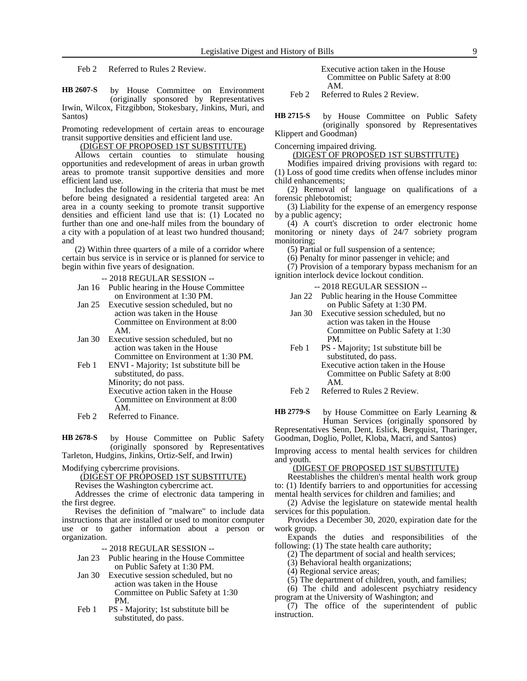Feb 2 Referred to Rules 2 Review.

by House Committee on Environment (originally sponsored by Representatives Irwin, Wilcox, Fitzgibbon, Stokesbary, Jinkins, Muri, and Santos) **HB 2607-S**

Promoting redevelopment of certain areas to encourage transit supportive densities and efficient land use.

## (DIGEST OF PROPOSED 1ST SUBSTITUTE)

Allows certain counties to stimulate housing opportunities and redevelopment of areas in urban growth areas to promote transit supportive densities and more efficient land use.

Includes the following in the criteria that must be met before being designated a residential targeted area: An area in a county seeking to promote transit supportive densities and efficient land use that is: (1) Located no further than one and one-half miles from the boundary of a city with a population of at least two hundred thousand; and

(2) Within three quarters of a mile of a corridor where certain bus service is in service or is planned for service to begin within five years of designation.

-- 2018 REGULAR SESSION --

- Jan 16 Public hearing in the House Committee on Environment at 1:30 PM.
- Jan 25 Executive session scheduled, but no action was taken in the House Committee on Environment at 8:00 AM.
- Jan 30 Executive session scheduled, but no action was taken in the House Committee on Environment at 1:30 PM.
- Feb 1 ENVI Majority; 1st substitute bill be substituted, do pass. Minority; do not pass. Executive action taken in the House Committee on Environment at 8:00 AM.
- Feb 2 Referred to Finance.

by House Committee on Public Safety (originally sponsored by Representatives Tarleton, Hudgins, Jinkins, Ortiz-Self, and Irwin) **HB 2678-S**

Modifying cybercrime provisions.

(DIGEST OF PROPOSED 1ST SUBSTITUTE)

Revises the Washington cybercrime act.

Addresses the crime of electronic data tampering in the first degree.

Revises the definition of "malware" to include data instructions that are installed or used to monitor computer use or to gather information about a person or organization.

-- 2018 REGULAR SESSION --

- Jan 23 Public hearing in the House Committee on Public Safety at 1:30 PM.
- Jan 30 Executive session scheduled, but no action was taken in the House Committee on Public Safety at 1:30 PM.
- Feb 1 PS Majority; 1st substitute bill be substituted, do pass.

Executive action taken in the House Committee on Public Safety at 8:00 AM.

Feb 2 Referred to Rules 2 Review.

by House Committee on Public Safety (originally sponsored by Representatives Klippert and Goodman) **HB 2715-S**

Concerning impaired driving.

(DIGEST OF PROPOSED 1ST SUBSTITUTE)

Modifies impaired driving provisions with regard to: (1) Loss of good time credits when offense includes minor child enhancements;

(2) Removal of language on qualifications of a forensic phlebotomist;

(3) Liability for the expense of an emergency response by a public agency;

(4) A court's discretion to order electronic home monitoring or ninety days of 24/7 sobriety program monitoring;

(5) Partial or full suspension of a sentence;

(6) Penalty for minor passenger in vehicle; and

(7) Provision of a temporary bypass mechanism for an ignition interlock device lockout condition.

-- 2018 REGULAR SESSION --

- Jan 22 Public hearing in the House Committee on Public Safety at 1:30 PM.
- Jan 30 Executive session scheduled, but no action was taken in the House Committee on Public Safety at 1:30 PM.
- Feb 1 PS Majority; 1st substitute bill be substituted, do pass. Executive action taken in the House Committee on Public Safety at 8:00 AM.

by House Committee on Early Learning & Human Services (originally sponsored by **HB 2779-S**

Representatives Senn, Dent, Eslick, Bergquist, Tharinger, Goodman, Doglio, Pollet, Kloba, Macri, and Santos)

Improving access to mental health services for children and youth.

## (DIGEST OF PROPOSED 1ST SUBSTITUTE)

Reestablishes the children's mental health work group to: (1) Identify barriers to and opportunities for accessing mental health services for children and families; and

(2) Advise the legislature on statewide mental health services for this population.

Provides a December 30, 2020, expiration date for the work group.

Expands the duties and responsibilities of the following: (1) The state health care authority;

(2) The department of social and health services;

(3) Behavioral health organizations;

(4) Regional service areas;

(5) The department of children, youth, and families;

(6) The child and adolescent psychiatry residency program at the University of Washington; and

(7) The office of the superintendent of public instruction.

Feb 2 Referred to Rules 2 Review.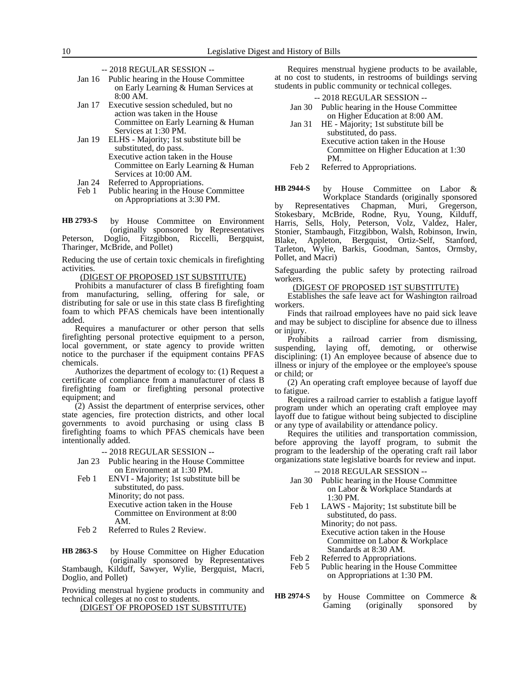- -- 2018 REGULAR SESSION --
- Jan 16 Public hearing in the House Committee on Early Learning & Human Services at 8:00 AM.
- Jan 17 Executive session scheduled, but no action was taken in the House Committee on Early Learning & Human Services at 1:30 PM.
- Jan 19 ELHS Majority; 1st substitute bill be substituted, do pass. Executive action taken in the House Committee on Early Learning & Human
- Services at 10:00 AM.
- Jan 24 Referred to Appropriations.
- Feb 1 Public hearing in the House Committee on Appropriations at 3:30 PM.

by House Committee on Environment (originally sponsored by Representatives Peterson, Doglio, Fitzgibbon, Riccelli, Bergquist, Tharinger, McBride, and Pollet) **HB 2793-S**

Reducing the use of certain toxic chemicals in firefighting activities.

(DIGEST OF PROPOSED 1ST SUBSTITUTE)

Prohibits a manufacturer of class B firefighting foam from manufacturing, selling, offering for sale, or distributing for sale or use in this state class B firefighting foam to which PFAS chemicals have been intentionally added.

Requires a manufacturer or other person that sells firefighting personal protective equipment to a person, local government, or state agency to provide written notice to the purchaser if the equipment contains PFAS chemicals.

Authorizes the department of ecology to: (1) Request a certificate of compliance from a manufacturer of class B firefighting foam or firefighting personal protective equipment; and

(2) Assist the department of enterprise services, other state agencies, fire protection districts, and other local governments to avoid purchasing or using class B firefighting foams to which PFAS chemicals have been intentionally added.

-- 2018 REGULAR SESSION --

Jan 23 Public hearing in the House Committee on Environment at 1:30 PM.

- Feb 1 ENVI Majority; 1st substitute bill be substituted, do pass. Minority; do not pass. Executive action taken in the House Committee on Environment at 8:00 AM.
- Feb 2 Referred to Rules 2 Review.

by House Committee on Higher Education (originally sponsored by Representatives Stambaugh, Kilduff, Sawyer, Wylie, Bergquist, Macri, Doglio, and Pollet) **HB 2863-S**

Providing menstrual hygiene products in community and technical colleges at no cost to students.

(DIGEST OF PROPOSED 1ST SUBSTITUTE)

Requires menstrual hygiene products to be available, at no cost to students, in restrooms of buildings serving students in public community or technical colleges.

|        | $-2018$ REGULAR SESSION $-$           |
|--------|---------------------------------------|
| Jan 30 | Public hearing in the House Committee |
|        | on Higher Education at 8:00 AM.       |

- Jan 31 HE Majority; 1st substitute bill be substituted, do pass. Executive action taken in the House Committee on Higher Education at 1:30 PM.
- Feb 2 Referred to Appropriations.

by House Committee on Labor & Workplace Standards (originally sponsored by Representatives Chapman, Muri, Gregerson, Stokesbary, McBride, Rodne, Ryu, Young, Kilduff, Harris, Sells, Holy, Peterson, Volz, Valdez, Haler, Stonier, Stambaugh, Fitzgibbon, Walsh, Robinson, Irwin, Blake, Appleton, Bergquist, Ortiz-Self, Stanford, Tarleton, Wylie, Barkis, Goodman, Santos, Ormsby, Pollet, and Macri) **HB 2944-S**

Safeguarding the public safety by protecting railroad workers.

(DIGEST OF PROPOSED 1ST SUBSTITUTE)

Establishes the safe leave act for Washington railroad workers.

Finds that railroad employees have no paid sick leave and may be subject to discipline for absence due to illness or injury.

Prohibits a railroad carrier from dismissing, suspending, laying off, demoting, or otherwise disciplining: (1) An employee because of absence due to illness or injury of the employee or the employee's spouse or child; or

(2) An operating craft employee because of layoff due to fatigue.

Requires a railroad carrier to establish a fatigue layoff program under which an operating craft employee may layoff due to fatigue without being subjected to discipline or any type of availability or attendance policy.

Requires the utilities and transportation commission, before approving the layoff program, to submit the program to the leadership of the operating craft rail labor organizations state legislative boards for review and input.

-- 2018 REGULAR SESSION --

- Jan 30 Public hearing in the House Committee on Labor & Workplace Standards at 1:30 PM.
- Feb 1 LAWS Majority; 1st substitute bill be substituted, do pass. Minority; do not pass. Executive action taken in the House Committee on Labor & Workplace Standards at 8:30 AM.
- 
- Feb 2 Referred to Appropriations.<br>Feb 5 Public hearing in the House Public hearing in the House Committee on Appropriations at 1:30 PM.
- by House Committee on Commerce & Gaming (originally sponsored by **HB 2974-S**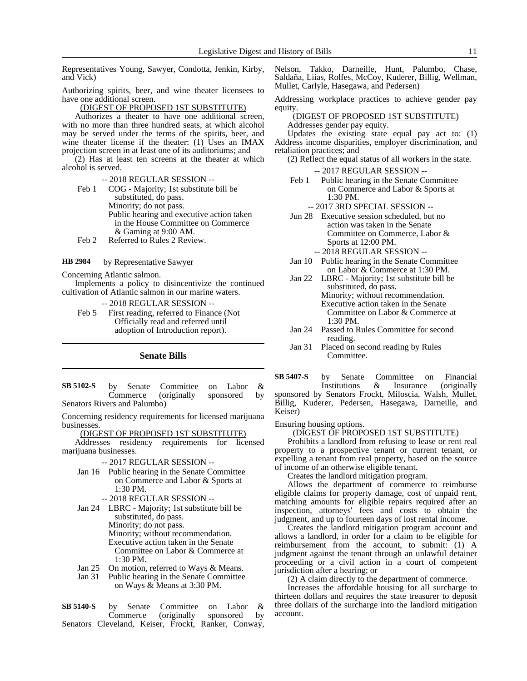Representatives Young, Sawyer, Condotta, Jenkin, Kirby, and Vick)

Authorizing spirits, beer, and wine theater licensees to have one additional screen.

(DIGEST OF PROPOSED 1ST SUBSTITUTE)

Authorizes a theater to have one additional screen, with no more than three hundred seats, at which alcohol may be served under the terms of the spirits, beer, and wine theater license if the theater: (1) Uses an IMAX projection screen in at least one of its auditoriums; and

(2) Has at least ten screens at the theater at which alcohol is served.

-- 2018 REGULAR SESSION --

Feb 1 COG - Majority; 1st substitute bill be substituted, do pass. Minority; do not pass. Public hearing and executive action taken in the House Committee on Commerce & Gaming at 9:00 AM.

Feb 2 Referred to Rules 2 Review.

by Representative Sawyer **HB 2984**

Concerning Atlantic salmon.

Implements a policy to disincentivize the continued cultivation of Atlantic salmon in our marine waters.

-- 2018 REGULAR SESSION --

Feb 5 First reading, referred to Finance (Not Officially read and referred until adoption of Introduction report).

**Senate Bills**

by Senate Committee on Labor &<br>Commerce (originally sponsored by Commerce (originally sponsored Senators Rivers and Palumbo) **SB 5102-S**

Concerning residency requirements for licensed marijuana businesses.

(DIGEST OF PROPOSED 1ST SUBSTITUTE)

Addresses residency requirements for licensed marijuana businesses.

- -- 2017 REGULAR SESSION --
- Jan 16 Public hearing in the Senate Committee on Commerce and Labor & Sports at 1:30 PM.
	- -- 2018 REGULAR SESSION --
- Jan 24 LBRC Majority; 1st substitute bill be substituted, do pass. Minority; do not pass. Minority; without recommendation.
	- Executive action taken in the Senate Committee on Labor & Commerce at 1:30 PM.
- Jan 25 On motion, referred to Ways & Means.
- Jan 31 Public hearing in the Senate Committee on Ways & Means at 3:30 PM.

by Senate Committee on Labor & Commerce (originally sponsored by Senators Cleveland, Keiser, Frockt, Ranker, Conway, **SB 5140-S**

Nelson, Takko, Darneille, Hunt, Palumbo, Chase, Saldaña, Liias, Rolfes, McCoy, Kuderer, Billig, Wellman, Mullet, Carlyle, Hasegawa, and Pedersen)

Addressing workplace practices to achieve gender pay equity.

#### (DIGEST OF PROPOSED 1ST SUBSTITUTE) Addresses gender pay equity.

Updates the existing state equal pay act to: (1) Address income disparities, employer discrimination, and retaliation practices; and

- (2) Reflect the equal status of all workers in the state.
	- -- 2017 REGULAR SESSION --
- Feb 1 Public hearing in the Senate Committee on Commerce and Labor & Sports at 1:30 PM.
	- -- 2017 3RD SPECIAL SESSION --
- Jun 28 Executive session scheduled, but no action was taken in the Senate Committee on Commerce, Labor & Sports at 12:00 PM.
	- -- 2018 REGULAR SESSION --
- Jan 10 Public hearing in the Senate Committee on Labor & Commerce at 1:30 PM.
- Jan 22 LBRC Majority; 1st substitute bill be substituted, do pass. Minority; without recommendation. Executive action taken in the Senate Committee on Labor & Commerce at 1:30 PM.
- Jan 24 Passed to Rules Committee for second reading.
- Jan 31 Placed on second reading by Rules Committee.

by Senate Committee on Financial Institutions & Insurance (originally sponsored by Senators Frockt, Miloscia, Walsh, Mullet, Billig, Kuderer, Pedersen, Hasegawa, Darneille, and Keiser) **SB 5407-S**

Ensuring housing options.

#### (DIGEST OF PROPOSED 1ST SUBSTITUTE)

Prohibits a landlord from refusing to lease or rent real property to a prospective tenant or current tenant, or expelling a tenant from real property, based on the source of income of an otherwise eligible tenant.

Creates the landlord mitigation program.

Allows the department of commerce to reimburse eligible claims for property damage, cost of unpaid rent, matching amounts for eligible repairs required after an inspection, attorneys' fees and costs to obtain the judgment, and up to fourteen days of lost rental income.

Creates the landlord mitigation program account and allows a landlord, in order for a claim to be eligible for reimbursement from the account, to submit: (1) A judgment against the tenant through an unlawful detainer proceeding or a civil action in a court of competent jurisdiction after a hearing; or

(2) A claim directly to the department of commerce.

Increases the affordable housing for all surcharge to thirteen dollars and requires the state treasurer to deposit three dollars of the surcharge into the landlord mitigation account.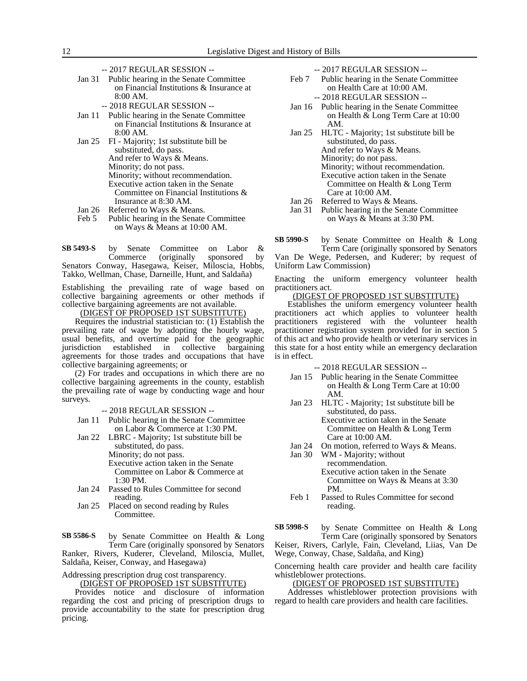- -- 2017 REGULAR SESSION --
- Jan 31 Public hearing in the Senate Committee on Financial Institutions & Insurance at 8:00 AM.
	- -- 2018 REGULAR SESSION --
- Jan 11 Public hearing in the Senate Committee on Financial Institutions & Insurance at 8:00 AM.
- Jan 25 FI Majority; 1st substitute bill be substituted, do pass. And refer to Ways & Means. Minority; do not pass. Minority; without recommendation. Executive action taken in the Senate Committee on Financial Institutions & Insurance at 8:30 AM.
- Jan 26 Referred to Ways & Means.<br>Feb 5 Public hearing in the Senate
- Public hearing in the Senate Committee on Ways & Means at 10:00 AM.

by Senate Committee on Labor &<br>Commerce (originally sponsored by sponsored by Senators Conway, Hasegawa, Keiser, Miloscia, Hobbs, Takko, Wellman, Chase, Darneille, Hunt, and Saldaña) **SB 5493-S**

Establishing the prevailing rate of wage based on collective bargaining agreements or other methods if collective bargaining agreements are not available.

(DIGEST OF PROPOSED 1ST SUBSTITUTE)

Requires the industrial statistician to: (1) Establish the prevailing rate of wage by adopting the hourly wage, usual benefits, and overtime paid for the geographic jurisdiction established in collective bargaining agreements for those trades and occupations that have collective bargaining agreements; or

(2) For trades and occupations in which there are no collective bargaining agreements in the county, establish the prevailing rate of wage by conducting wage and hour surveys.

-- 2018 REGULAR SESSION --

- Jan 11 Public hearing in the Senate Committee on Labor & Commerce at 1:30 PM.
- Jan 22 LBRC Majority; 1st substitute bill be substituted, do pass. Minority; do not pass. Executive action taken in the Senate Committee on Labor & Commerce at 1:30 PM.
- Jan 24 Passed to Rules Committee for second reading.
- Jan 25 Placed on second reading by Rules Committee.

by Senate Committee on Health & Long Term Care (originally sponsored by Senators Ranker, Rivers, Kuderer, Cleveland, Miloscia, Mullet, **SB 5586-S**

Saldaña, Keiser, Conway, and Hasegawa)

Addressing prescription drug cost transparency. (DIGEST OF PROPOSED 1ST SUBSTITUTE)

Provides notice and disclosure of information regarding the cost and pricing of prescription drugs to provide accountability to the state for prescription drug pricing.

-- 2017 REGULAR SESSION --

- Feb 7 Public hearing in the Senate Committee on Health Care at 10:00 AM. -- 2018 REGULAR SESSION --
- Jan 16 Public hearing in the Senate Committee on Health & Long Term Care at 10:00
- AM. Jan 25 HLTC - Majority; 1st substitute bill be substituted, do pass. And refer to Ways & Means. Minority; do not pass. Minority; without recommendation. Executive action taken in the Senate Committee on Health & Long Term Care at 10:00 AM. Jan 26 Referred to Ways & Means.
	- Jan 31 Public hearing in the Senate Committee on Ways & Means at 3:30 PM.

by Senate Committee on Health & Long Term Care (originally sponsored by Senators **SB 5990-S**

Van De Wege, Pedersen, and Kuderer; by request of Uniform Law Commission)

Enacting the uniform emergency volunteer health practitioners act.

## (DIGEST OF PROPOSED 1ST SUBSTITUTE)

Establishes the uniform emergency volunteer health practitioners act which applies to volunteer health practitioners registered with the volunteer health practitioner registration system provided for in section 5 of this act and who provide health or veterinary services in this state for a host entity while an emergency declaration is in effect.

-- 2018 REGULAR SESSION --

- Jan 15 Public hearing in the Senate Committee on Health & Long Term Care at 10:00 AM.
- Jan 23 HLTC Majority; 1st substitute bill be substituted, do pass. Executive action taken in the Senate

Committee on Health & Long Term Care at 10:00 AM.

- Jan 24 On motion, referred to Ways & Means.<br>Jan 30 WM Maiority: without
	- WM Majority; without recommendation. Executive action taken in the Senate Committee on Ways & Means at 3:30 PM.
- Feb 1 Passed to Rules Committee for second reading.

by Senate Committee on Health & Long Term Care (originally sponsored by Senators **SB 5998-S**

Keiser, Rivers, Carlyle, Fain, Cleveland, Liias, Van De Wege, Conway, Chase, Saldaña, and King)

Concerning health care provider and health care facility whistleblower protections.

#### (DIGEST OF PROPOSED 1ST SUBSTITUTE)

Addresses whistleblower protection provisions with regard to health care providers and health care facilities.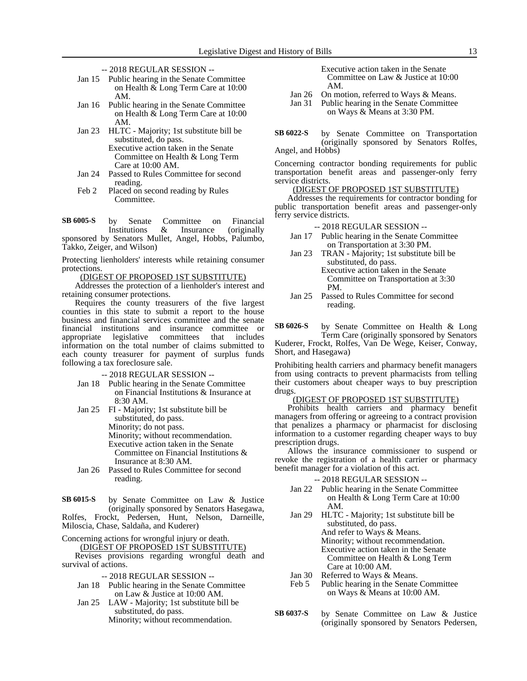- -- 2018 REGULAR SESSION --
- Jan 15 Public hearing in the Senate Committee on Health & Long Term Care at 10:00 AM.
- Jan 16 Public hearing in the Senate Committee on Health & Long Term Care at 10:00 AM.
- Jan 23 HLTC Majority; 1st substitute bill be substituted, do pass.
	- Executive action taken in the Senate Committee on Health & Long Term Care at 10:00 AM.
- Jan 24 Passed to Rules Committee for second reading.
- Feb 2 Placed on second reading by Rules Committee.

by Senate Committee on Financial Institutions & Insurance (originally sponsored by Senators Mullet, Angel, Hobbs, Palumbo, Takko, Zeiger, and Wilson) **SB 6005-S**

Protecting lienholders' interests while retaining consumer protections.

(DIGEST OF PROPOSED 1ST SUBSTITUTE)

Addresses the protection of a lienholder's interest and retaining consumer protections.

Requires the county treasurers of the five largest counties in this state to submit a report to the house business and financial services committee and the senate financial institutions and insurance committee or appropriate legislative committees that includes information on the total number of claims submitted to each county treasurer for payment of surplus funds following a tax foreclosure sale.

-- 2018 REGULAR SESSION --

- Jan 18 Public hearing in the Senate Committee on Financial Institutions & Insurance at 8:30 AM.
- Jan 25 FI Majority; 1st substitute bill be substituted, do pass. Minority; do not pass. Minority; without recommendation. Executive action taken in the Senate Committee on Financial Institutions & Insurance at 8:30 AM.
- Jan 26 Passed to Rules Committee for second reading.

by Senate Committee on Law & Justice (originally sponsored by Senators Hasegawa, **SB 6015-S**

Rolfes, Frockt, Pedersen, Hunt, Nelson, Darneille, Miloscia, Chase, Saldaña, and Kuderer)

Concerning actions for wrongful injury or death.

(DIGEST OF PROPOSED 1ST SUBSTITUTE) Revises provisions regarding wrongful death and survival of actions.

- -- 2018 REGULAR SESSION --
- Jan 18 Public hearing in the Senate Committee on Law & Justice at 10:00 AM.
- Jan 25 LAW Majority; 1st substitute bill be substituted, do pass. Minority; without recommendation.

Executive action taken in the Senate Committee on Law & Justice at 10:00 AM.

- Jan 26 On motion, referred to Ways & Means.
- Jan 31 Public hearing in the Senate Committee on Ways & Means at 3:30 PM.

by Senate Committee on Transportation (originally sponsored by Senators Rolfes, Angel, and Hobbs) **SB 6022-S**

Concerning contractor bonding requirements for public transportation benefit areas and passenger-only ferry service districts.

# (DIGEST OF PROPOSED 1ST SUBSTITUTE)

Addresses the requirements for contractor bonding for public transportation benefit areas and passenger-only ferry service districts.

-- 2018 REGULAR SESSION --

- Jan 17 Public hearing in the Senate Committee on Transportation at 3:30 PM.
- Jan 23 TRAN Majority; 1st substitute bill be substituted, do pass. Executive action taken in the Senate Committee on Transportation at 3:30
- PM. Jan 25 Passed to Rules Committee for second reading.

by Senate Committee on Health & Long Term Care (originally sponsored by Senators Kuderer, Frockt, Rolfes, Van De Wege, Keiser, Conway, Short, and Hasegawa) **SB 6026-S**

Prohibiting health carriers and pharmacy benefit managers from using contracts to prevent pharmacists from telling their customers about cheaper ways to buy prescription drugs.

#### (DIGEST OF PROPOSED 1ST SUBSTITUTE)

Prohibits health carriers and pharmacy benefit managers from offering or agreeing to a contract provision that penalizes a pharmacy or pharmacist for disclosing information to a customer regarding cheaper ways to buy prescription drugs.

Allows the insurance commissioner to suspend or revoke the registration of a health carrier or pharmacy benefit manager for a violation of this act.

- -- 2018 REGULAR SESSION --
- Jan 22 Public hearing in the Senate Committee on Health & Long Term Care at 10:00 AM.
- Jan 29 HLTC Majority; 1st substitute bill be substituted, do pass. And refer to Ways & Means. Minority; without recommendation. Executive action taken in the Senate Committee on Health & Long Term Care at 10:00 AM.
- Jan 30 Referred to Ways & Means.
- Feb 5 Public hearing in the Senate Committee on Ways & Means at 10:00 AM.
- by Senate Committee on Law & Justice (originally sponsored by Senators Pedersen, **SB 6037-S**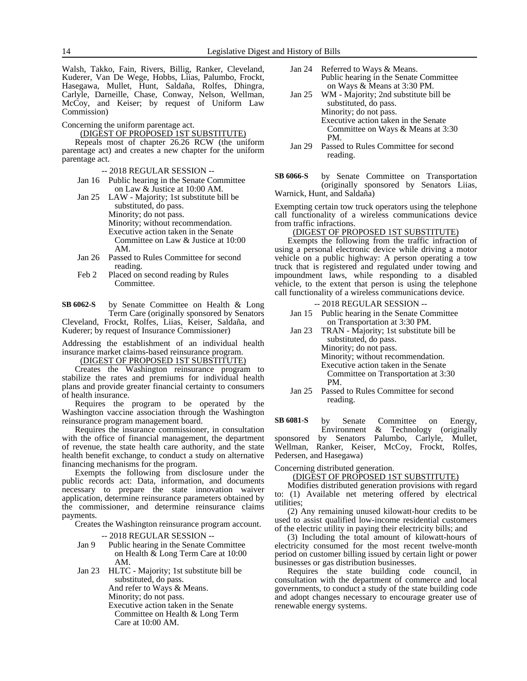Walsh, Takko, Fain, Rivers, Billig, Ranker, Cleveland, Kuderer, Van De Wege, Hobbs, Liias, Palumbo, Frockt, Hasegawa, Mullet, Hunt, Saldaña, Rolfes, Dhingra, Carlyle, Darneille, Chase, Conway, Nelson, Wellman, McCoy, and Keiser; by request of Uniform Law Commission)

Concerning the uniform parentage act.

(DIGEST OF PROPOSED 1ST SUBSTITUTE)

Repeals most of chapter 26.26 RCW (the uniform parentage act) and creates a new chapter for the uniform parentage act.

-- 2018 REGULAR SESSION --

Jan 16 Public hearing in the Senate Committee on Law & Justice at 10:00 AM.

Jan 25 LAW - Majority; 1st substitute bill be substituted, do pass. Minority; do not pass. Minority; without recommendation. Executive action taken in the Senate Committee on Law & Justice at 10:00 AM.

- Jan 26 Passed to Rules Committee for second reading.
- Feb 2 Placed on second reading by Rules Committee.

by Senate Committee on Health & Long Term Care (originally sponsored by Senators **SB 6062-S**

Cleveland, Frockt, Rolfes, Liias, Keiser, Saldaña, and Kuderer; by request of Insurance Commissioner)

Addressing the establishment of an individual health insurance market claims-based reinsurance program.

(DIGEST OF PROPOSED 1ST SUBSTITUTE)

Creates the Washington reinsurance program to stabilize the rates and premiums for individual health plans and provide greater financial certainty to consumers of health insurance.

Requires the program to be operated by the Washington vaccine association through the Washington reinsurance program management board.

Requires the insurance commissioner, in consultation with the office of financial management, the department of revenue, the state health care authority, and the state health benefit exchange, to conduct a study on alternative financing mechanisms for the program.

Exempts the following from disclosure under the public records act: Data, information, and documents necessary to prepare the state innovation waiver application, determine reinsurance parameters obtained by the commissioner, and determine reinsurance claims payments.

Creates the Washington reinsurance program account.

-- 2018 REGULAR SESSION --

- Jan 9 Public hearing in the Senate Committee on Health & Long Term Care at 10:00 AM.
- Jan 23 HLTC Majority; 1st substitute bill be substituted, do pass. And refer to Ways & Means. Minority; do not pass.
	- Executive action taken in the Senate Committee on Health & Long Term Care at 10:00 AM.
- Jan 24 Referred to Ways & Means. Public hearing in the Senate Committee on Ways & Means at 3:30 PM.
- Jan 25 WM Majority; 2nd substitute bill be substituted, do pass. Minority; do not pass. Executive action taken in the Senate Committee on Ways & Means at 3:30 PM.
- Jan 29 Passed to Rules Committee for second reading.

by Senate Committee on Transportation (originally sponsored by Senators Liias, Warnick, Hunt, and Saldaña) **SB 6066-S**

Exempting certain tow truck operators using the telephone call functionality of a wireless communications device from traffic infractions.

# (DIGEST OF PROPOSED 1ST SUBSTITUTE)

Exempts the following from the traffic infraction of using a personal electronic device while driving a motor vehicle on a public highway: A person operating a tow truck that is registered and regulated under towing and impoundment laws, while responding to a disabled vehicle, to the extent that person is using the telephone call functionality of a wireless communications device.

-- 2018 REGULAR SESSION --

- Jan 15 Public hearing in the Senate Committee on Transportation at 3:30 PM.
- Jan 23 TRAN Majority; 1st substitute bill be substituted, do pass. Minority; do not pass. Minority; without recommendation.

Executive action taken in the Senate Committee on Transportation at 3:30 PM.

Jan 25 Passed to Rules Committee for second reading.

by Senate Committee on Energy,<br>Environment & Technology (originally  $&$  Technology (originally sponsored by Senators Palumbo, Carlyle, Mullet, Wellman, Ranker, Keiser, McCoy, Frockt, Rolfes, Pedersen, and Hasegawa) **SB 6081-S**

Concerning distributed generation.

(DIGEST OF PROPOSED 1ST SUBSTITUTE)

Modifies distributed generation provisions with regard to: (1) Available net metering offered by electrical utilities;

(2) Any remaining unused kilowatt-hour credits to be used to assist qualified low-income residential customers of the electric utility in paying their electricity bills; and

(3) Including the total amount of kilowatt-hours of electricity consumed for the most recent twelve-month period on customer billing issued by certain light or power businesses or gas distribution businesses.

Requires the state building code council, in consultation with the department of commerce and local governments, to conduct a study of the state building code and adopt changes necessary to encourage greater use of renewable energy systems.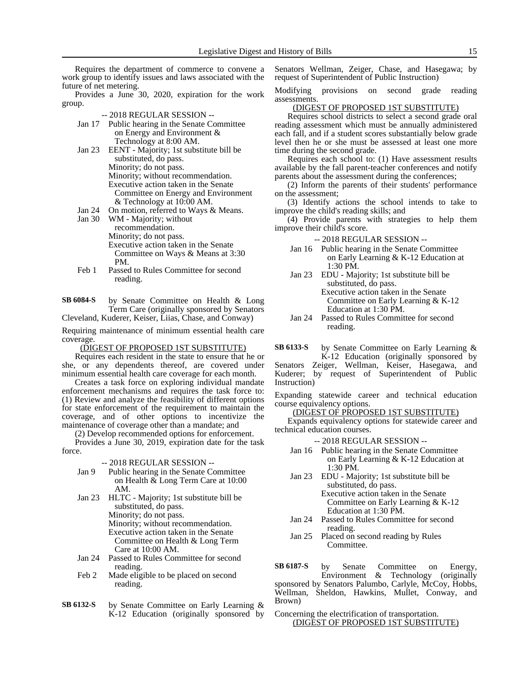Requires the department of commerce to convene a work group to identify issues and laws associated with the future of net metering.

Provides a June 30, 2020, expiration for the work group.

#### -- 2018 REGULAR SESSION --

- Jan 17 Public hearing in the Senate Committee on Energy and Environment & Technology at 8:00 AM.
- Jan 23 EENT Majority; 1st substitute bill be substituted, do pass. Minority; do not pass. Minority; without recommendation. Executive action taken in the Senate Committee on Energy and Environment & Technology at 10:00 AM.
- Jan 24 On motion, referred to Ways & Means.<br>Jan 30 WM Maiority: without

WM - Majority; without recommendation. Minority; do not pass. Executive action taken in the Senate Committee on Ways & Means at 3:30 PM.

Feb 1 Passed to Rules Committee for second reading.

by Senate Committee on Health & Long Term Care (originally sponsored by Senators Cleveland, Kuderer, Keiser, Liias, Chase, and Conway) **SB 6084-S**

Requiring maintenance of minimum essential health care coverage.

(DIGEST OF PROPOSED 1ST SUBSTITUTE)

Requires each resident in the state to ensure that he or she, or any dependents thereof, are covered under minimum essential health care coverage for each month.

Creates a task force on exploring individual mandate enforcement mechanisms and requires the task force to: (1) Review and analyze the feasibility of different options for state enforcement of the requirement to maintain the coverage, and of other options to incentivize the maintenance of coverage other than a mandate; and

(2) Develop recommended options for enforcement.

Provides a June 30, 2019, expiration date for the task force.

#### -- 2018 REGULAR SESSION --

- Jan 9 Public hearing in the Senate Committee on Health & Long Term Care at 10:00 AM.
- Jan 23 HLTC Majority; 1st substitute bill be substituted, do pass. Minority; do not pass. Minority; without recommendation. Executive action taken in the Senate Committee on Health & Long Term Care at 10:00 AM.
- Jan 24 Passed to Rules Committee for second reading.
- Feb 2 Made eligible to be placed on second reading.
- by Senate Committee on Early Learning & K-12 Education (originally sponsored by **SB 6132-S**

Senators Wellman, Zeiger, Chase, and Hasegawa; by request of Superintendent of Public Instruction)

Modifying provisions on second grade reading assessments.

(DIGEST OF PROPOSED 1ST SUBSTITUTE)

Requires school districts to select a second grade oral reading assessment which must be annually administered each fall, and if a student scores substantially below grade level then he or she must be assessed at least one more time during the second grade.

Requires each school to: (1) Have assessment results available by the fall parent-teacher conferences and notify parents about the assessment during the conferences;

(2) Inform the parents of their students' performance on the assessment;

(3) Identify actions the school intends to take to improve the child's reading skills; and

(4) Provide parents with strategies to help them improve their child's score.

-- 2018 REGULAR SESSION --

- Jan 16 Public hearing in the Senate Committee on Early Learning & K-12 Education at 1:30 PM.
- Jan 23 EDU Majority; 1st substitute bill be substituted, do pass. Executive action taken in the Senate Committee on Early Learning & K-12 Education at 1:30 PM.
- Jan 24 Passed to Rules Committee for second reading.

by Senate Committee on Early Learning & K-12 Education (originally sponsored by **SB 6133-S**

Senators Zeiger, Wellman, Keiser, Hasegawa, and Kuderer; by request of Superintendent of Public Instruction)

Expanding statewide career and technical education course equivalency options.

#### (DIGEST OF PROPOSED 1ST SUBSTITUTE)

Expands equivalency options for statewide career and technical education courses.

-- 2018 REGULAR SESSION --

- Jan 16 Public hearing in the Senate Committee on Early Learning & K-12 Education at 1:30 PM.
- Jan 23 EDU Majority; 1st substitute bill be substituted, do pass. Executive action taken in the Senate Committee on Early Learning & K-12
	- Education at 1:30 PM.
- Jan 24 Passed to Rules Committee for second reading.
- Jan 25 Placed on second reading by Rules Committee.

by Senate Committee on Energy, Environment & Technology (originally sponsored by Senators Palumbo, Carlyle, McCoy, Hobbs, Wellman, Sheldon, Hawkins, Mullet, Conway, and Brown) **SB 6187-S**

Concerning the electrification of transportation. (DIGEST OF PROPOSED 1ST SUBSTITUTE)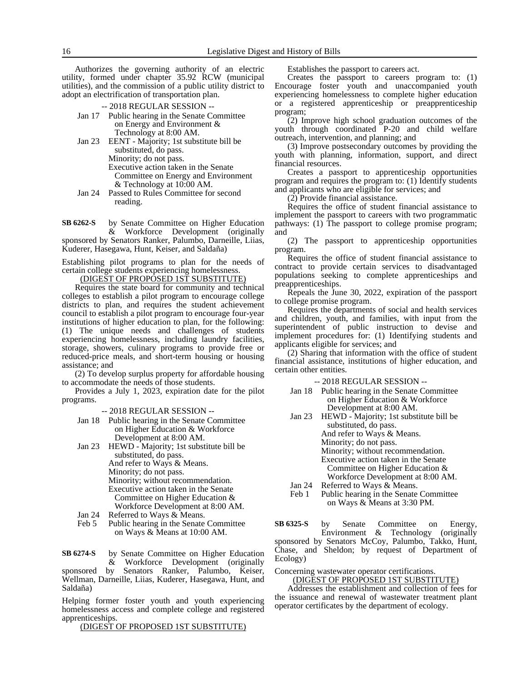Authorizes the governing authority of an electric utility, formed under chapter 35.92 RCW (municipal utilities), and the commission of a public utility district to adopt an electrification of transportation plan.

- -- 2018 REGULAR SESSION --
- Jan 17 Public hearing in the Senate Committee on Energy and Environment & Technology at 8:00 AM.
- Jan 23 EENT Majority; 1st substitute bill be substituted, do pass. Minority; do not pass. Executive action taken in the Senate Committee on Energy and Environment & Technology at 10:00 AM.
- Jan 24 Passed to Rules Committee for second reading.

by Senate Committee on Higher Education & Workforce Development (originally sponsored by Senators Ranker, Palumbo, Darneille, Liias, Kuderer, Hasegawa, Hunt, Keiser, and Saldaña) **SB 6262-S**

Establishing pilot programs to plan for the needs of certain college students experiencing homelessness.

(DIGEST OF PROPOSED 1ST SUBSTITUTE)

Requires the state board for community and technical colleges to establish a pilot program to encourage college districts to plan, and requires the student achievement council to establish a pilot program to encourage four-year institutions of higher education to plan, for the following: (1) The unique needs and challenges of students experiencing homelessness, including laundry facilities, storage, showers, culinary programs to provide free or reduced-price meals, and short-term housing or housing assistance; and

(2) To develop surplus property for affordable housing to accommodate the needs of those students.

Provides a July 1, 2023, expiration date for the pilot programs.

-- 2018 REGULAR SESSION --

- Jan 18 Public hearing in the Senate Committee on Higher Education & Workforce Development at 8:00 AM.
- Jan 23 HEWD Majority; 1st substitute bill be substituted, do pass. And refer to Ways & Means. Minority; do not pass. Minority; without recommendation.

Executive action taken in the Senate Committee on Higher Education & Workforce Development at 8:00 AM.

- Jan 24 Referred to Ways & Means.
- Feb 5 Public hearing in the Senate Committee on Ways & Means at 10:00 AM.

by Senate Committee on Higher Education & Workforce Development (originally **SB 6274-S**

sponsored by Senators Ranker, Palumbo, Keiser, Wellman, Darneille, Liias, Kuderer, Hasegawa, Hunt, and Saldaña)

Helping former foster youth and youth experiencing homelessness access and complete college and registered apprenticeships.

(DIGEST OF PROPOSED 1ST SUBSTITUTE)

Establishes the passport to careers act.

Creates the passport to careers program to: (1) Encourage foster youth and unaccompanied youth experiencing homelessness to complete higher education or a registered apprenticeship or preapprenticeship program;

(2) Improve high school graduation outcomes of the youth through coordinated P-20 and child welfare outreach, intervention, and planning; and

(3) Improve postsecondary outcomes by providing the youth with planning, information, support, and direct financial resources.

Creates a passport to apprenticeship opportunities program and requires the program to: (1) Identify students and applicants who are eligible for services; and

(2) Provide financial assistance.

Requires the office of student financial assistance to implement the passport to careers with two programmatic pathways: (1) The passport to college promise program; and

(2) The passport to apprenticeship opportunities program.

Requires the office of student financial assistance to contract to provide certain services to disadvantaged populations seeking to complete apprenticeships and preapprenticeships.

Repeals the June 30, 2022, expiration of the passport to college promise program.

Requires the departments of social and health services and children, youth, and families, with input from the superintendent of public instruction to devise and implement procedures for: (1) Identifying students and applicants eligible for services; and

(2) Sharing that information with the office of student financial assistance, institutions of higher education, and certain other entities.

-- 2018 REGULAR SESSION --

- Jan 18 Public hearing in the Senate Committee on Higher Education & Workforce Development at 8:00 AM.
- Jan 23 HEWD Majority; 1st substitute bill be substituted, do pass. And refer to Ways & Means. Minority; do not pass. Minority; without recommendation. Executive action taken in the Senate
- Committee on Higher Education & Workforce Development at 8:00 AM. Jan 24 Referred to Ways & Means.
- Feb 1 Public hearing in the Senate Committee on Ways & Means at 3:30 PM.

by Senate Committee on Energy, Environment & Technology (originally sponsored by Senators McCoy, Palumbo, Takko, Hunt, Chase, and Sheldon; by request of Department of Ecology) **SB 6325-S**

Concerning wastewater operator certifications.

(DIGEST OF PROPOSED 1ST SUBSTITUTE) Addresses the establishment and collection of fees for the issuance and renewal of wastewater treatment plant operator certificates by the department of ecology.